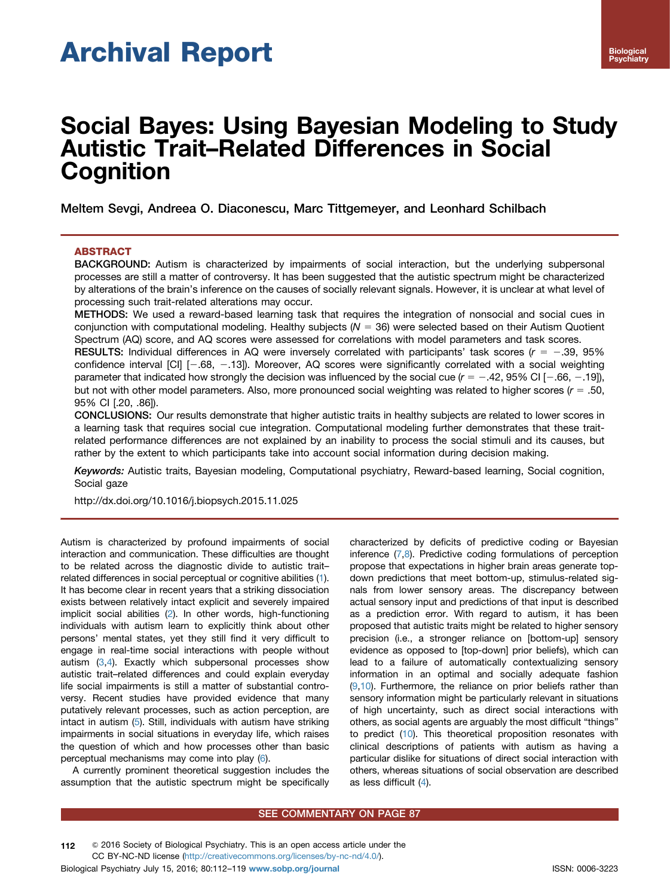# Archival Report

# Social Bayes: Using Bayesian Modeling to Study Autistic Trait–Related Differences in Social **Cognition**

Meltem Sevgi, Andreea O. Diaconescu, Marc Tittgemeyer, and Leonhard Schilbach

# **ABSTRACT**

BACKGROUND: Autism is characterized by impairments of social interaction, but the underlying subpersonal processes are still a matter of controversy. It has been suggested that the autistic spectrum might be characterized by alterations of the brain's inference on the causes of socially relevant signals. However, it is unclear at what level of processing such trait-related alterations may occur.

METHODS: We used a reward-based learning task that requires the integration of nonsocial and social cues in conjunction with computational modeling. Healthy subjects ( $N = 36$ ) were selected based on their Autism Quotient Spectrum (AQ) score, and AQ scores were assessed for correlations with model parameters and task scores.

RESULTS: Individual differences in AQ were inversely correlated with participants' task scores ( $r = -.39, 95\%$ ) confidence interval  $\text{[CI]}$   $[-.68, -.13]$ ). Moreover, AQ scores were significantly correlated with a social weighting parameter that indicated how strongly the decision was influenced by the social cue ( $r = -0.42$ , 95% CI [-0.66, -0.19]), but not with other model parameters. Also, more pronounced social weighting was related to higher scores  $(r = .50,$ 95% CI [.20, .86]).

CONCLUSIONS: Our results demonstrate that higher autistic traits in healthy subjects are related to lower scores in a learning task that requires social cue integration. Computational modeling further demonstrates that these traitrelated performance differences are not explained by an inability to process the social stimuli and its causes, but rather by the extent to which participants take into account social information during decision making.

Keywords: Autistic traits, Bayesian modeling, Computational psychiatry, Reward-based learning, Social cognition, Social gaze

[http://dx.doi.org/10.1016/j.biopsych.2015.11.025](dx.doi.org/10.1016/j.biopsych.2015.11.025)

Autism is characterized by profound impairments of social interaction and communication. These difficulties are thought to be related across the diagnostic divide to autistic trait– related differences in social perceptual or cognitive abilities [\(1](#page-6-0)). It has become clear in recent years that a striking dissociation exists between relatively intact explicit and severely impaired implicit social abilities [\(2](#page-6-0)). In other words, high-functioning individuals with autism learn to explicitly think about other persons' mental states, yet they still find it very difficult to engage in real-time social interactions with people without autism [\(3,4](#page-6-0)). Exactly which subpersonal processes show autistic trait–related differences and could explain everyday life social impairments is still a matter of substantial controversy. Recent studies have provided evidence that many putatively relevant processes, such as action perception, are intact in autism [\(5](#page-6-0)). Still, individuals with autism have striking impairments in social situations in everyday life, which raises the question of which and how processes other than basic perceptual mechanisms may come into play [\(6\)](#page-6-0).

A currently prominent theoretical suggestion includes the assumption that the autistic spectrum might be specifically

characterized by deficits of predictive coding or Bayesian inference [\(7,8\)](#page-6-0). Predictive coding formulations of perception propose that expectations in higher brain areas generate topdown predictions that meet bottom-up, stimulus-related signals from lower sensory areas. The discrepancy between actual sensory input and predictions of that input is described as a prediction error. With regard to autism, it has been proposed that autistic traits might be related to higher sensory precision (i.e., a stronger reliance on [bottom-up] sensory evidence as opposed to [top-down] prior beliefs), which can lead to a failure of automatically contextualizing sensory information in an optimal and socially adequate fashion  $(9,10)$  $(9,10)$  $(9,10)$  $(9,10)$  $(9,10)$ . Furthermore, the reliance on prior beliefs rather than sensory information might be particularly relevant in situations of high uncertainty, such as direct social interactions with others, as social agents are arguably the most difficult "things" to predict [\(10\)](#page-6-0). This theoretical proposition resonates with clinical descriptions of patients with autism as having a particular dislike for situations of direct social interaction with others, whereas situations of social observation are described as less difficult ([4](#page-6-0)).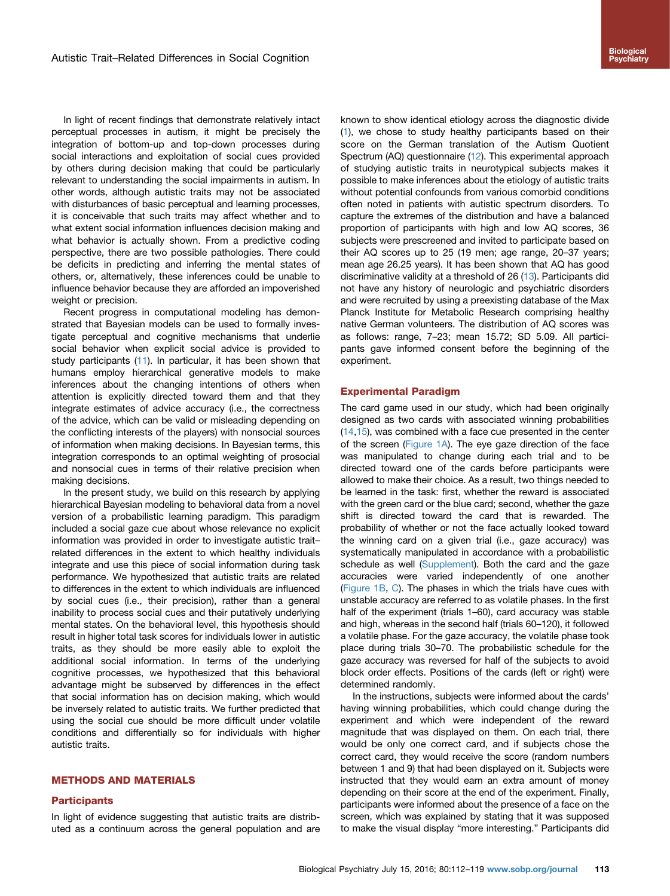In light of recent findings that demonstrate relatively intact perceptual processes in autism, it might be precisely the integration of bottom-up and top-down processes during social interactions and exploitation of social cues provided by others during decision making that could be particularly relevant to understanding the social impairments in autism. In other words, although autistic traits may not be associated with disturbances of basic perceptual and learning processes, it is conceivable that such traits may affect whether and to what extent social information influences decision making and what behavior is actually shown. From a predictive coding perspective, there are two possible pathologies. There could be deficits in predicting and inferring the mental states of others, or, alternatively, these inferences could be unable to influence behavior because they are afforded an impoverished weight or precision.

Recent progress in computational modeling has demonstrated that Bayesian models can be used to formally investigate perceptual and cognitive mechanisms that underlie social behavior when explicit social advice is provided to study participants ([11\)](#page-6-0). In particular, it has been shown that humans employ hierarchical generative models to make inferences about the changing intentions of others when attention is explicitly directed toward them and that they integrate estimates of advice accuracy (i.e., the correctness of the advice, which can be valid or misleading depending on the conflicting interests of the players) with nonsocial sources of information when making decisions. In Bayesian terms, this integration corresponds to an optimal weighting of prosocial and nonsocial cues in terms of their relative precision when making decisions.

In the present study, we build on this research by applying hierarchical Bayesian modeling to behavioral data from a novel version of a probabilistic learning paradigm. This paradigm included a social gaze cue about whose relevance no explicit information was provided in order to investigate autistic trait– related differences in the extent to which healthy individuals integrate and use this piece of social information during task performance. We hypothesized that autistic traits are related to differences in the extent to which individuals are influenced by social cues (i.e., their precision), rather than a general inability to process social cues and their putatively underlying mental states. On the behavioral level, this hypothesis should result in higher total task scores for individuals lower in autistic traits, as they should be more easily able to exploit the additional social information. In terms of the underlying cognitive processes, we hypothesized that this behavioral advantage might be subserved by differences in the effect that social information has on decision making, which would be inversely related to autistic traits. We further predicted that using the social cue should be more difficult under volatile conditions and differentially so for individuals with higher autistic traits.

## METHODS AND MATERIALS

#### **Participants**

In light of evidence suggesting that autistic traits are distributed as a continuum across the general population and are known to show identical etiology across the diagnostic divide ([1](#page-6-0)), we chose to study healthy participants based on their score on the German translation of the Autism Quotient Spectrum (AQ) questionnaire ([12](#page-6-0)). This experimental approach of studying autistic traits in neurotypical subjects makes it possible to make inferences about the etiology of autistic traits without potential confounds from various comorbid conditions often noted in patients with autistic spectrum disorders. To capture the extremes of the distribution and have a balanced proportion of participants with high and low AQ scores, 36 subjects were prescreened and invited to participate based on their AQ scores up to 25 (19 men; age range, 20–37 years; mean age 26.25 years). It has been shown that AQ has good discriminative validity at a threshold of 26 [\(13\)](#page-6-0). Participants did not have any history of neurologic and psychiatric disorders and were recruited by using a preexisting database of the Max Planck Institute for Metabolic Research comprising healthy native German volunteers. The distribution of AQ scores was as follows: range, 7–23; mean 15.72; SD 5.09. All participants gave informed consent before the beginning of the experiment.

#### Experimental Paradigm

The card game used in our study, which had been originally designed as two cards with associated winning probabilities ([14,15\)](#page-6-0), was combined with a face cue presented in the center of the screen [\(Figure 1A](#page-2-0)). The eye gaze direction of the face was manipulated to change during each trial and to be directed toward one of the cards before participants were allowed to make their choice. As a result, two things needed to be learned in the task: first, whether the reward is associated with the green card or the blue card; second, whether the gaze shift is directed toward the card that is rewarded. The probability of whether or not the face actually looked toward the winning card on a given trial (i.e., gaze accuracy) was systematically manipulated in accordance with a probabilistic schedule as well ([Supplement\)](#page-6-0). Both the card and the gaze accuracies were varied independently of one another ([Figure 1B,](#page-2-0) [C](#page-2-0)). The phases in which the trials have cues with unstable accuracy are referred to as volatile phases. In the first half of the experiment (trials 1–60), card accuracy was stable and high, whereas in the second half (trials 60–120), it followed a volatile phase. For the gaze accuracy, the volatile phase took place during trials 30–70. The probabilistic schedule for the gaze accuracy was reversed for half of the subjects to avoid block order effects. Positions of the cards (left or right) were determined randomly.

In the instructions, subjects were informed about the cards' having winning probabilities, which could change during the experiment and which were independent of the reward magnitude that was displayed on them. On each trial, there would be only one correct card, and if subjects chose the correct card, they would receive the score (random numbers between 1 and 9) that had been displayed on it. Subjects were instructed that they would earn an extra amount of money depending on their score at the end of the experiment. Finally, participants were informed about the presence of a face on the screen, which was explained by stating that it was supposed to make the visual display "more interesting." Participants did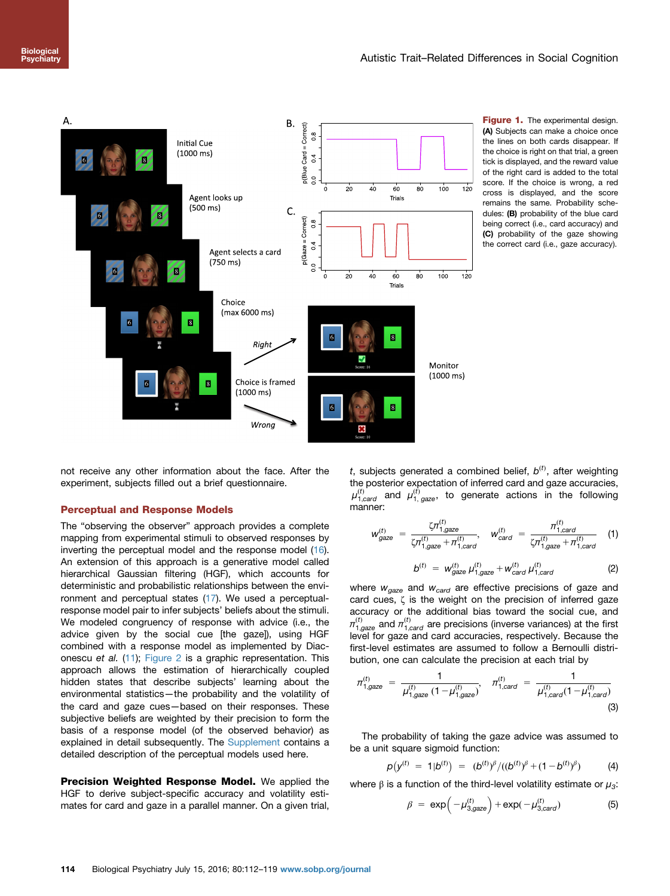<span id="page-2-0"></span>

Figure 1. The experimental design. (A) Subjects can make a choice once the lines on both cards disappear. If the choice is right on that trial, a green tick is displayed, and the reward value of the right card is added to the total score. If the choice is wrong, a red cross is displayed, and the score remains the same. Probability schedules: (B) probability of the blue card being correct (i.e., card accuracy) and (C) probability of the gaze showing the correct card (i.e., gaze accuracy).

not receive any other information about the face. After the experiment, subjects filled out a brief questionnaire.

# Perceptual and Response Models

The "observing the observer" approach provides a complete mapping from experimental stimuli to observed responses by inverting the perceptual model and the response model ([16](#page-6-0)). An extension of this approach is a generative model called hierarchical Gaussian filtering (HGF), which accounts for deterministic and probabilistic relationships between the environment and perceptual states [\(17\)](#page-6-0). We used a perceptualresponse model pair to infer subjects' beliefs about the stimuli. We modeled congruency of response with advice (i.e., the advice given by the social cue [the gaze]), using HGF combined with a response model as implemented by Diaconescu et al. [\(11\)](#page-6-0); [Figure 2](#page-3-0) is a graphic representation. This approach allows the estimation of hierarchically coupled hidden states that describe subjects' learning about the environmental statistics—the probability and the volatility of the card and gaze cues—based on their responses. These subjective beliefs are weighted by their precision to form the basis of a response model (of the observed behavior) as explained in detail subsequently. The [Supplement](#page-6-0) contains a detailed description of the perceptual models used here.

Precision Weighted Response Model. We applied the HGF to derive subject-specific accuracy and volatility estimates for card and gaze in a parallel manner. On a given trial,

t, subjects generated a combined belief,  $b^{(t)}$ , after weighting the posterior expectation of inferred card and gaze accuracies,  $\mu_{1,card}^{(t)}$  and  $\mu_{1,_gaze}^{(t)},$  to generate actions in the following manner:

$$
w_{gaze}^{(t)} = \frac{\zeta \pi_{1, gaze}^{(t)}}{\zeta \pi_{1, gaze}^{(t)} + \pi_{1, card}^{(t)}}, \quad w_{card}^{(t)} = \frac{\pi_{1, card}^{(t)}}{\zeta \pi_{1, gaze}^{(t)} + \pi_{1, card}^{(t)}} \quad (1)
$$

$$
b^{(t)} = w_{\text{gaze}}^{(t)} \mu_{1,\text{gaze}}^{(t)} + w_{\text{card}}^{(t)} \mu_{1,\text{card}}^{(t)} \tag{2}
$$

where  $w_{\text{gaze}}$  and  $w_{\text{card}}$  are effective precisions of gaze and card cues, ζ is the weight on the precision of inferred gaze accuracy or the additional bias toward the social cue, and  $\pi_{1,gaze}^{(t)}$  and  $\pi_{1,card}^{(t)}$  are precisions (inverse variances) at the first level for gaze and card accuracies, respectively. Because the first-level estimates are assumed to follow a Bernoulli distribution, one can calculate the precision at each trial by

$$
\pi_{1,gaze}^{(t)} = \frac{1}{\mu_{1,gaze}^{(t)} \left(1 - \mu_{1,gaze}^{(t)}\right)}, \quad \pi_{1,card}^{(t)} = \frac{1}{\mu_{1,card}^{(t)} \left(1 - \mu_{1,card}^{(t)}\right)}
$$
(3)

The probability of taking the gaze advice was assumed to be a unit square sigmoid function:

$$
p(y^{(t)} = 1|b^{(t)}) = (b^{(t)})^{\beta}/((b^{(t)})^{\beta} + (1-b^{(t)})^{\beta})
$$
 (4)

where  $\beta$  is a function of the third-level volatility estimate or  $\mu_3$ :

$$
\beta = \exp\left(-\mu_{3, \text{gaze}}^{(t)}\right) + \exp(-\mu_{3, \text{card}}^{(t)})
$$
 (5)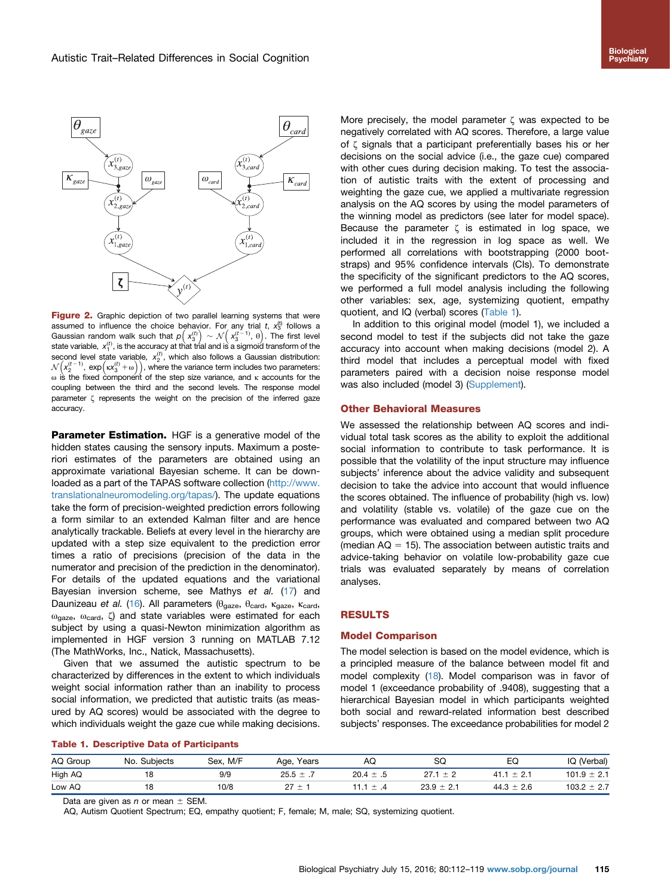<span id="page-3-0"></span>

Figure 2. Graphic depiction of two parallel learning systems that were assumed to influence the choice behavior. For any trial t,  $x_3^{(t)}$  follows a Gaussian random walk such that  $\rho\Bigl(\,x_3^{(t)}\Bigr)\,\sim\,{\cal N}\Bigl(\,x_3^{(t-1)},\,\theta\Bigr).$  The first level state variable,  $x_1^{(t)}$ , is the accuracy at that trial and is a sigmoid transform of the second level state variable,  $x_2^{(t)}$ , which also follows a Gaussian distribution:  $\mathcal{N}\Big(\mathsf{x}_2^{(t-1)},\ \mathsf{exp}\Big(\mathsf{x}\mathsf{x}_3^{(t)}+\omega\Big)\Big)$ , where the variance term includes two parameters:  $ω$  is the fixed component of the step size variance, and  $κ$  accounts for the coupling between the third and the second levels. The response model parameter ζ represents the weight on the precision of the inferred gaze accuracy.

Parameter Estimation. HGF is a generative model of the hidden states causing the sensory inputs. Maximum a posteriori estimates of the parameters are obtained using an approximate variational Bayesian scheme. It can be downloaded as a part of the TAPAS software collection [\(http://www.](http://www.translationalneuromodeling.org/tapas/) [translationalneuromodeling.org/tapas/](http://www.translationalneuromodeling.org/tapas/)). The update equations take the form of precision-weighted prediction errors following a form similar to an extended Kalman filter and are hence analytically trackable. Beliefs at every level in the hierarchy are updated with a step size equivalent to the prediction error times a ratio of precisions (precision of the data in the numerator and precision of the prediction in the denominator). For details of the updated equations and the variational Bayesian inversion scheme, see Mathys et al. ([17\)](#page-6-0) and Daunizeau et al. ([16](#page-6-0)). All parameters ( $\theta_{\text{gaze}}$ , θ<sub>card</sub>, κ<sub>gaze</sub>, κ<sub>card</sub>,  $ω<sub>gaze</sub>$ ,  $ω<sub>card</sub>$ , ζ) and state variables were estimated for each subject by using a quasi-Newton minimization algorithm as implemented in HGF version 3 running on MATLAB 7.12 (The MathWorks, Inc., Natick, Massachusetts).

Given that we assumed the autistic spectrum to be characterized by differences in the extent to which individuals weight social information rather than an inability to process social information, we predicted that autistic traits (as measured by AQ scores) would be associated with the degree to which individuals weight the gaze cue while making decisions.

More precisely, the model parameter  $\zeta$  was expected to be negatively correlated with AQ scores. Therefore, a large value of ζ signals that a participant preferentially bases his or her decisions on the social advice (i.e., the gaze cue) compared with other cues during decision making. To test the association of autistic traits with the extent of processing and weighting the gaze cue, we applied a multivariate regression analysis on the AQ scores by using the model parameters of the winning model as predictors (see later for model space). Because the parameter  $\zeta$  is estimated in log space, we included it in the regression in log space as well. We performed all correlations with bootstrapping (2000 bootstraps) and 95% confidence intervals (CIs). To demonstrate the specificity of the significant predictors to the AQ scores, we performed a full model analysis including the following other variables: sex, age, systemizing quotient, empathy

In addition to this original model (model 1), we included a second model to test if the subjects did not take the gaze accuracy into account when making decisions (model 2). A third model that includes a perceptual model with fixed parameters paired with a decision noise response model was also included (model 3) [\(Supplement\)](#page-6-0).

#### Other Behavioral Measures

quotient, and IQ (verbal) scores (Table 1).

We assessed the relationship between AQ scores and individual total task scores as the ability to exploit the additional social information to contribute to task performance. It is possible that the volatility of the input structure may influence subjects' inference about the advice validity and subsequent decision to take the advice into account that would influence the scores obtained. The influence of probability (high vs. low) and volatility (stable vs. volatile) of the gaze cue on the performance was evaluated and compared between two AQ groups, which were obtained using a median split procedure (median  $AQ = 15$ ). The association between autistic traits and advice-taking behavior on volatile low-probability gaze cue trials was evaluated separately by means of correlation analyses.

# RESULTS

#### Model Comparison

The model selection is based on the model evidence, which is a principled measure of the balance between model fit and model complexity ([18\)](#page-6-0). Model comparison was in favor of model 1 (exceedance probability of .9408), suggesting that a hierarchical Bayesian model in which participants weighted both social and reward-related information best described subjects' responses. The exceedance probabilities for model 2

#### Table 1. Descriptive Data of Participants

| AQ Group | Subiects<br>No. | Sex, M/F | Years<br>Age,    | ΑQ                       | SQ               | EQ                 | (Verbal)<br>IQ |
|----------|-----------------|----------|------------------|--------------------------|------------------|--------------------|----------------|
| High AQ  | O               | 9/9      | 25.5 $\pm$       | 20.4<br>-<br>. . 5       | $+ 2$            | $.1 \pm 2.1$<br>41 | 101.9<br>± 2.1 |
| Low AQ   | 18              | 10/8     | <b>Selection</b> | -<br>$\overline{a}$<br>∸ | 23.9<br>$\pm$ 2. | $44.3 \pm 2.6$     | ± 2.7<br>103.2 |

Data are given as n or mean  $+$  SEM.

AQ, Autism Quotient Spectrum; EQ, empathy quotient; F, female; M, male; SQ, systemizing quotient.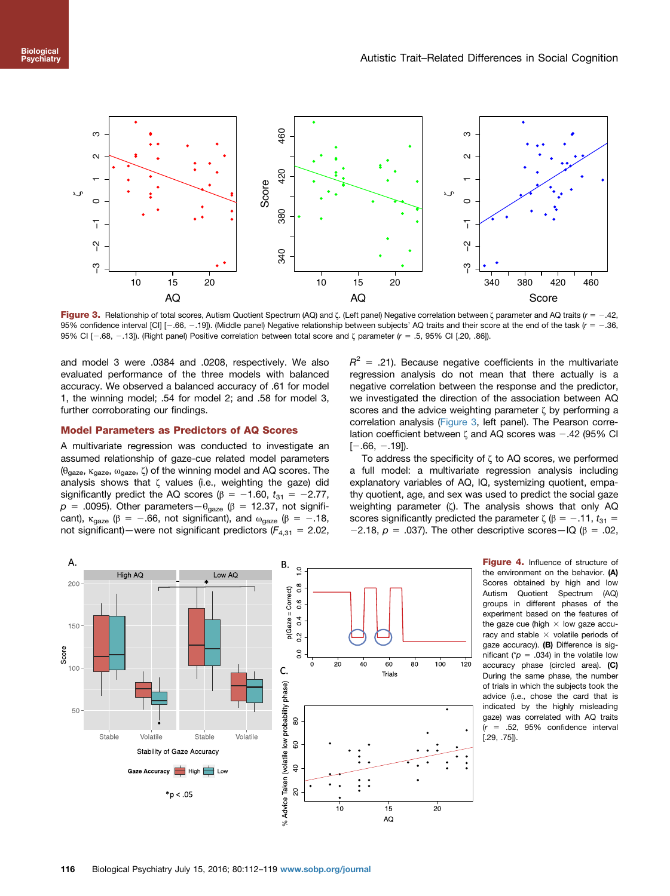<span id="page-4-0"></span>

Figure 3. Relationship of total scores, Autism Quotient Spectrum (AQ) and ζ. (Left panel) Negative correlation between ζ parameter and AQ traits (r = -.42, 95% confidence interval [CI]  $[-.66, -.19]$ . (Middle panel) Negative relationship between subjects' AQ traits and their score at the end of the task ( $r = -.36$ , 95% CI [ $-$ .68,  $-$ .13]). (Right panel) Positive correlation between total score and ζ parameter (r = .5, 95% CI [.20, .86]).

and model 3 were .0384 and .0208, respectively. We also evaluated performance of the three models with balanced accuracy. We observed a balanced accuracy of .61 for model 1, the winning model; .54 for model 2; and .58 for model 3, further corroborating our findings.

# Model Parameters as Predictors of AQ Scores

A multivariate regression was conducted to investigate an assumed relationship of gaze-cue related model parameters ( $\theta$ <sub>gaze</sub>, κ<sub>gaze</sub>, ω<sub>gaze</sub>, ζ) of the winning model and AQ scores. The analysis shows that ζ values (i.e., weighting the gaze) did significantly predict the AQ scores ( $\beta$  = -1.60,  $t_{31}$  = -2.77,  $p = .0095$ ). Other parameters  $-\theta_{\text{gaze}}$  ( $\beta = 12.37$ , not significant),  $\kappa_{\text{gaze}}$  ( $\beta = -.66$ , not significant), and  $\omega_{\text{gaze}}$  ( $\beta = -.18$ , not significant)—were not significant predictors ( $F_{4,31}$  = 2.02,

 $R^2$  = .21). Because negative coefficients in the multivariate regression analysis do not mean that there actually is a negative correlation between the response and the predictor, we investigated the direction of the association between AQ scores and the advice weighting parameter ζ by performing a correlation analysis (Figure 3, left panel). The Pearson correlation coefficient between  $\zeta$  and AQ scores was  $-.42$  (95% CI  $[-.66, -.19]$ ).

To address the specificity of ζ to AQ scores, we performed a full model: a multivariate regression analysis including explanatory variables of AQ, IQ, systemizing quotient, empathy quotient, age, and sex was used to predict the social gaze weighting parameter (ζ). The analysis shows that only AQ scores significantly predicted the parameter  $\zeta$  ( $\beta = -0.11$ ,  $t_{31} =$ -2.18,  $p = .037$ ). The other descriptive scores-IQ ( $\beta = .02$ ,



Figure 4. Influence of structure of the environment on the behavior. (A) Scores obtained by high and low Autism Quotient Spectrum (AQ) groups in different phases of the experiment based on the features of the gaze cue (high  $\times$  low gaze accuracy and stable  $\times$  volatile periods of gaze accuracy). (B) Difference is significant ( $p = .034$ ) in the volatile low accuracy phase (circled area). (C) During the same phase, the number of trials in which the subjects took the advice (i.e., chose the card that is indicated by the highly misleading gaze) was correlated with AQ traits  $(r = .52, 95\%$  confidence interval [.29, .75]).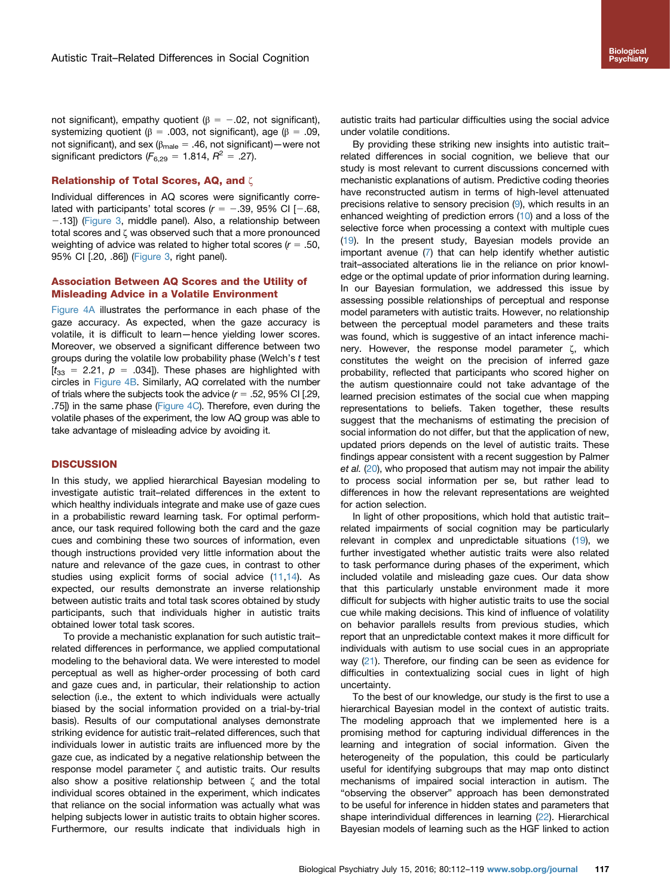not significant), empathy quotient ( $β = -.02$ , not significant), systemizing quotient ( $\beta = .003$ , not significant), age ( $\beta = .09$ , not significant), and sex ( $\beta_{male} = .46$ , not significant) — were not significant predictors ( $F_{6,29} = 1.814$ ,  $R^2 = .27$ ).

# Relationship of Total Scores, AQ, and ζ

Individual differences in AQ scores were significantly correlated with participants' total scores ( $r = -.39, 95\%$  CI [-.68, -.13]) ([Figure 3,](#page-4-0) middle panel). Also, a relationship between total scores and ζ was observed such that a more pronounced weighting of advice was related to higher total scores ( $r = .50$ , 95% CI [.20, .86]) [\(Figure 3](#page-4-0), right panel).

# Association Between AQ Scores and the Utility of Misleading Advice in a Volatile Environment

[Figure 4A](#page-4-0) illustrates the performance in each phase of the gaze accuracy. As expected, when the gaze accuracy is volatile, it is difficult to learn—hence yielding lower scores. Moreover, we observed a significant difference between two groups during the volatile low probability phase (Welch's t test  $[t_{33} = 2.21, p = .034]$ . These phases are highlighted with circles in [Figure 4B](#page-4-0). Similarly, AQ correlated with the number of trials where the subjects took the advice  $(r = .52, 95\% \text{ CI}$  [.29, .75) in the same phase (Figure  $4C$ ). Therefore, even during the volatile phases of the experiment, the low AQ group was able to take advantage of misleading advice by avoiding it.

# **DISCUSSION**

In this study, we applied hierarchical Bayesian modeling to investigate autistic trait–related differences in the extent to which healthy individuals integrate and make use of gaze cues in a probabilistic reward learning task. For optimal performance, our task required following both the card and the gaze cues and combining these two sources of information, even though instructions provided very little information about the nature and relevance of the gaze cues, in contrast to other studies using explicit forms of social advice [\(11,14](#page-6-0)). As expected, our results demonstrate an inverse relationship between autistic traits and total task scores obtained by study participants, such that individuals higher in autistic traits obtained lower total task scores.

To provide a mechanistic explanation for such autistic trait– related differences in performance, we applied computational modeling to the behavioral data. We were interested to model perceptual as well as higher-order processing of both card and gaze cues and, in particular, their relationship to action selection (i.e., the extent to which individuals were actually biased by the social information provided on a trial-by-trial basis). Results of our computational analyses demonstrate striking evidence for autistic trait–related differences, such that individuals lower in autistic traits are influenced more by the gaze cue, as indicated by a negative relationship between the response model parameter ζ and autistic traits. Our results also show a positive relationship between ζ and the total individual scores obtained in the experiment, which indicates that reliance on the social information was actually what was helping subjects lower in autistic traits to obtain higher scores. Furthermore, our results indicate that individuals high in

autistic traits had particular difficulties using the social advice under volatile conditions.

By providing these striking new insights into autistic trait– related differences in social cognition, we believe that our study is most relevant to current discussions concerned with mechanistic explanations of autism. Predictive coding theories have reconstructed autism in terms of high-level attenuated precisions relative to sensory precision ([9](#page-6-0)), which results in an enhanced weighting of prediction errors ([10](#page-6-0)) and a loss of the selective force when processing a context with multiple cues ([19](#page-6-0)). In the present study, Bayesian models provide an important avenue [\(7\)](#page-6-0) that can help identify whether autistic trait–associated alterations lie in the reliance on prior knowledge or the optimal update of prior information during learning. In our Bayesian formulation, we addressed this issue by assessing possible relationships of perceptual and response model parameters with autistic traits. However, no relationship between the perceptual model parameters and these traits was found, which is suggestive of an intact inference machinery. However, the response model parameter ζ, which constitutes the weight on the precision of inferred gaze probability, reflected that participants who scored higher on the autism questionnaire could not take advantage of the learned precision estimates of the social cue when mapping representations to beliefs. Taken together, these results suggest that the mechanisms of estimating the precision of social information do not differ, but that the application of new, updated priors depends on the level of autistic traits. These findings appear consistent with a recent suggestion by Palmer et al. [\(20](#page-6-0)), who proposed that autism may not impair the ability to process social information per se, but rather lead to differences in how the relevant representations are weighted for action selection.

In light of other propositions, which hold that autistic trait– related impairments of social cognition may be particularly relevant in complex and unpredictable situations ([19](#page-6-0)), we further investigated whether autistic traits were also related to task performance during phases of the experiment, which included volatile and misleading gaze cues. Our data show that this particularly unstable environment made it more difficult for subjects with higher autistic traits to use the social cue while making decisions. This kind of influence of volatility on behavior parallels results from previous studies, which report that an unpredictable context makes it more difficult for individuals with autism to use social cues in an appropriate way [\(21\)](#page-6-0). Therefore, our finding can be seen as evidence for difficulties in contextualizing social cues in light of high uncertainty.

To the best of our knowledge, our study is the first to use a hierarchical Bayesian model in the context of autistic traits. The modeling approach that we implemented here is a promising method for capturing individual differences in the learning and integration of social information. Given the heterogeneity of the population, this could be particularly useful for identifying subgroups that may map onto distinct mechanisms of impaired social interaction in autism. The "observing the observer" approach has been demonstrated to be useful for inference in hidden states and parameters that shape interindividual differences in learning [\(22\)](#page-6-0). Hierarchical Bayesian models of learning such as the HGF linked to action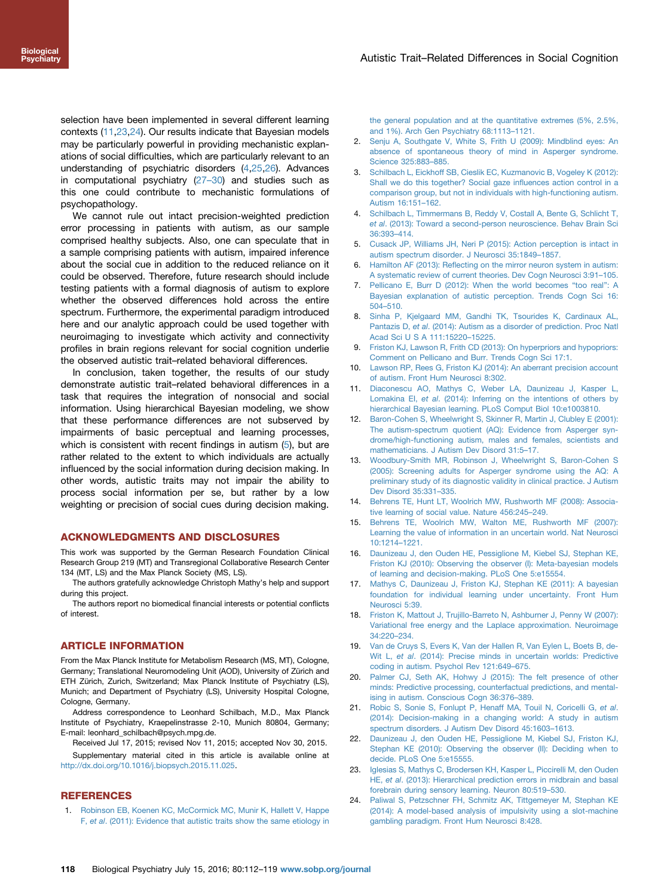<span id="page-6-0"></span>selection have been implemented in several different learning contexts (11,23,24). Our results indicate that Bayesian models may be particularly powerful in providing mechanistic explanations of social difficulties, which are particularly relevant to an understanding of psychiatric disorders (4,[25,26\)](#page-7-0). Advances in computational psychiatry [\(27](#page-7-0)–30) and studies such as this one could contribute to mechanistic formulations of psychopathology.

We cannot rule out intact precision-weighted prediction error processing in patients with autism, as our sample comprised healthy subjects. Also, one can speculate that in a sample comprising patients with autism, impaired inference about the social cue in addition to the reduced reliance on it could be observed. Therefore, future research should include testing patients with a formal diagnosis of autism to explore whether the observed differences hold across the entire spectrum. Furthermore, the experimental paradigm introduced here and our analytic approach could be used together with neuroimaging to investigate which activity and connectivity profiles in brain regions relevant for social cognition underlie the observed autistic trait–related behavioral differences.

In conclusion, taken together, the results of our study demonstrate autistic trait–related behavioral differences in a task that requires the integration of nonsocial and social information. Using hierarchical Bayesian modeling, we show that these performance differences are not subserved by impairments of basic perceptual and learning processes, which is consistent with recent findings in autism (5), but are rather related to the extent to which individuals are actually influenced by the social information during decision making. In other words, autistic traits may not impair the ability to process social information per se, but rather by a low weighting or precision of social cues during decision making.

#### ACKNOWLEDGMENTS AND DISCLOSURES

This work was supported by the German Research Foundation Clinical Research Group 219 (MT) and Transregional Collaborative Research Center 134 (MT, LS) and the Max Planck Society (MS, LS).

The authors gratefully acknowledge Christoph Mathy's help and support during this project.

The authors report no biomedical financial interests or potential conflicts of interest.

## ARTICLE INFORMATION

From the Max Planck Institute for Metabolism Research (MS, MT), Cologne, Germany; Translational Neuromodeling Unit (AOD), University of Zürich and ETH Zürich, Zurich, Switzerland; Max Planck Institute of Psychiatry (LS), Munich; and Department of Psychiatry (LS), University Hospital Cologne, Cologne, Germany.

Address correspondence to Leonhard Schilbach, M.D., Max Planck Institute of Psychiatry, Kraepelinstrasse 2-10, Munich 80804, Germany; E-mail: leonhard\_schilbach@psych.mpg.de.

Received Jul 17, 2015; revised Nov 11, 2015; accepted Nov 30, 2015. Supplementary material cited in this article is available online at

[http://dx.doi.org/10.1016/j.biopsych.2015.11.025](dx.doi.org/10.1016/j.biopsych.2015.11.025).

#### **REFERENCES**

1. [Robinson EB, Koenen KC, McCormick MC, Munir K, Hallett V, Happe](http://refhub.elsevier.com/S0006-3223(15)01035-5/sbref1) F, et al[. \(2011\): Evidence that autistic traits show the same etiology in](http://refhub.elsevier.com/S0006-3223(15)01035-5/sbref1) [the general population and at the quantitative extremes \(5%, 2.5%,](http://refhub.elsevier.com/S0006-3223(15)01035-5/sbref1) [and 1%\). Arch Gen Psychiatry 68:1113](http://refhub.elsevier.com/S0006-3223(15)01035-5/sbref1)–1121.

- 2. [Senju A, Southgate V, White S, Frith U \(2009\): Mindblind eyes: An](http://refhub.elsevier.com/S0006-3223(15)01035-5/sbref2) [absence of spontaneous theory of mind in Asperger syndrome.](http://refhub.elsevier.com/S0006-3223(15)01035-5/sbref2) [Science 325:883](http://refhub.elsevier.com/S0006-3223(15)01035-5/sbref2)–885.
- 3. [Schilbach L, Eickhoff SB, Cieslik EC, Kuzmanovic B, Vogeley K \(2012\):](http://refhub.elsevier.com/S0006-3223(15)01035-5/sbref3) [Shall we do this together? Social gaze in](http://refhub.elsevier.com/S0006-3223(15)01035-5/sbref3)fluences action control in a [comparison group, but not in individuals with high-functioning autism.](http://refhub.elsevier.com/S0006-3223(15)01035-5/sbref3) [Autism 16:151](http://refhub.elsevier.com/S0006-3223(15)01035-5/sbref3)–162.
- 4. [Schilbach L, Timmermans B, Reddy V, Costall A, Bente G, Schlicht T,](http://refhub.elsevier.com/S0006-3223(15)01035-5/sbref4) et al[. \(2013\): Toward a second-person neuroscience. Behav Brain Sci](http://refhub.elsevier.com/S0006-3223(15)01035-5/sbref4) [36:393](http://refhub.elsevier.com/S0006-3223(15)01035-5/sbref4)–414.
- 5. [Cusack JP, Williams JH, Neri P \(2015\): Action perception is intact in](http://refhub.elsevier.com/S0006-3223(15)01035-5/sbref5) [autism spectrum disorder. J Neurosci 35:1849](http://refhub.elsevier.com/S0006-3223(15)01035-5/sbref5)–1857.
- 6. Hamilton AF (2013): Refl[ecting on the mirror neuron system in autism:](http://refhub.elsevier.com/S0006-3223(15)01035-5/sbref6) [A systematic review of current theories. Dev Cogn Neurosci 3:91](http://refhub.elsevier.com/S0006-3223(15)01035-5/sbref6)–105.
- 7. [Pellicano E, Burr D \(2012\): When the world becomes](http://refhub.elsevier.com/S0006-3223(15)01035-5/sbref7) "too real": A [Bayesian explanation of autistic perception. Trends Cogn Sci 16:](http://refhub.elsevier.com/S0006-3223(15)01035-5/sbref7) 504–[510.](http://refhub.elsevier.com/S0006-3223(15)01035-5/sbref7)
- 8. [Sinha P, Kjelgaard MM, Gandhi TK, Tsourides K, Cardinaux AL,](http://refhub.elsevier.com/S0006-3223(15)01035-5/sbref8) Pantazis D, et al[. \(2014\): Autism as a disorder of prediction. Proc Natl](http://refhub.elsevier.com/S0006-3223(15)01035-5/sbref8) [Acad Sci U S A 111:15220](http://refhub.elsevier.com/S0006-3223(15)01035-5/sbref8)–15225.
- 9. [Friston KJ, Lawson R, Frith CD \(2013\): On hyperpriors and hypopriors:](http://refhub.elsevier.com/S0006-3223(15)01035-5/sbref9) [Comment on Pellicano and Burr. Trends Cogn Sci 17:1.](http://refhub.elsevier.com/S0006-3223(15)01035-5/sbref9)
- 10. [Lawson RP, Rees G, Friston KJ \(2014\): An aberrant precision account](http://refhub.elsevier.com/S0006-3223(15)01035-5/sbref10) [of autism. Front Hum Neurosci 8:302.](http://refhub.elsevier.com/S0006-3223(15)01035-5/sbref10)
- 11. [Diaconescu AO, Mathys C, Weber LA, Daunizeau J, Kasper L,](http://refhub.elsevier.com/S0006-3223(15)01035-5/sbref11) Lomakina EI, et al[. \(2014\): Inferring on the intentions of others by](http://refhub.elsevier.com/S0006-3223(15)01035-5/sbref11) [hierarchical Bayesian learning. PLoS Comput Biol 10:e1003810.](http://refhub.elsevier.com/S0006-3223(15)01035-5/sbref11)
- 12. [Baron-Cohen S, Wheelwright S, Skinner R, Martin J, Clubley E \(2001\):](http://refhub.elsevier.com/S0006-3223(15)01035-5/sbref12) [The autism-spectrum quotient \(AQ\): Evidence from Asperger syn](http://refhub.elsevier.com/S0006-3223(15)01035-5/sbref12)[drome/high-functioning autism, males and females, scientists and](http://refhub.elsevier.com/S0006-3223(15)01035-5/sbref12) [mathematicians. J Autism Dev Disord 31:5](http://refhub.elsevier.com/S0006-3223(15)01035-5/sbref12)–17.
- 13. [Woodbury-Smith MR, Robinson J, Wheelwright S, Baron-Cohen S](http://refhub.elsevier.com/S0006-3223(15)01035-5/sbref13) [\(2005\): Screening adults for Asperger syndrome using the AQ: A](http://refhub.elsevier.com/S0006-3223(15)01035-5/sbref13) [preliminary study of its diagnostic validity in clinical practice. J Autism](http://refhub.elsevier.com/S0006-3223(15)01035-5/sbref13) [Dev Disord 35:331](http://refhub.elsevier.com/S0006-3223(15)01035-5/sbref13)–335.
- 14. [Behrens TE, Hunt LT, Woolrich MW, Rushworth MF \(2008\): Associa](http://refhub.elsevier.com/S0006-3223(15)01035-5/sbref14)[tive learning of social value. Nature 456:245](http://refhub.elsevier.com/S0006-3223(15)01035-5/sbref14)–249.
- 15. [Behrens TE, Woolrich MW, Walton ME, Rushworth MF \(2007\):](http://refhub.elsevier.com/S0006-3223(15)01035-5/sbref15) [Learning the value of information in an uncertain world. Nat Neurosci](http://refhub.elsevier.com/S0006-3223(15)01035-5/sbref15) [10:1214](http://refhub.elsevier.com/S0006-3223(15)01035-5/sbref15)–1221.
- 16. [Daunizeau J, den Ouden HE, Pessiglione M, Kiebel SJ, Stephan KE,](http://refhub.elsevier.com/S0006-3223(15)01035-5/sbref16) [Friston KJ \(2010\): Observing the observer \(I\): Meta-bayesian models](http://refhub.elsevier.com/S0006-3223(15)01035-5/sbref16) [of learning and decision-making. PLoS One 5:e15554.](http://refhub.elsevier.com/S0006-3223(15)01035-5/sbref16)
- 17. [Mathys C, Daunizeau J, Friston KJ, Stephan KE \(2011\): A bayesian](http://refhub.elsevier.com/S0006-3223(15)01035-5/sbref17) [foundation for individual learning under uncertainty. Front Hum](http://refhub.elsevier.com/S0006-3223(15)01035-5/sbref17) [Neurosci 5:39.](http://refhub.elsevier.com/S0006-3223(15)01035-5/sbref17)
- 18. [Friston K, Mattout J, Trujillo-Barreto N, Ashburner J, Penny W \(2007\):](http://refhub.elsevier.com/S0006-3223(15)01035-5/sbref18) [Variational free energy and the Laplace approximation. Neuroimage](http://refhub.elsevier.com/S0006-3223(15)01035-5/sbref18) [34:220](http://refhub.elsevier.com/S0006-3223(15)01035-5/sbref18)–234.
- 19. [Van de Cruys S, Evers K, Van der Hallen R, Van Eylen L, Boets B, de-](http://refhub.elsevier.com/S0006-3223(15)01035-5/sbref19)Wit L, et al[. \(2014\): Precise minds in uncertain worlds: Predictive](http://refhub.elsevier.com/S0006-3223(15)01035-5/sbref19) [coding in autism. Psychol Rev 121:649](http://refhub.elsevier.com/S0006-3223(15)01035-5/sbref19)–675.
- 20. [Palmer CJ, Seth AK, Hohwy J \(2015\): The felt presence of other](http://refhub.elsevier.com/S0006-3223(15)01035-5/sbref20) [minds: Predictive processing, counterfactual predictions, and mental](http://refhub.elsevier.com/S0006-3223(15)01035-5/sbref20)[ising in autism. Conscious Cogn 36:376](http://refhub.elsevier.com/S0006-3223(15)01035-5/sbref20)–389.
- 21. [Robic S, Sonie S, Fonlupt P, Henaff MA, Touil N, Coricelli G,](http://refhub.elsevier.com/S0006-3223(15)01035-5/sbref21) et al. [\(2014\): Decision-making in a changing world: A study in autism](http://refhub.elsevier.com/S0006-3223(15)01035-5/sbref21) [spectrum disorders. J Autism Dev Disord 45:1603](http://refhub.elsevier.com/S0006-3223(15)01035-5/sbref21)–1613.
- 22. [Daunizeau J, den Ouden HE, Pessiglione M, Kiebel SJ, Friston KJ,](http://refhub.elsevier.com/S0006-3223(15)01035-5/sbref22) [Stephan KE \(2010\): Observing the observer \(II\): Deciding when to](http://refhub.elsevier.com/S0006-3223(15)01035-5/sbref22) [decide. PLoS One 5:e15555.](http://refhub.elsevier.com/S0006-3223(15)01035-5/sbref22)
- 23. [Iglesias S, Mathys C, Brodersen KH, Kasper L, Piccirelli M, den Ouden](http://refhub.elsevier.com/S0006-3223(15)01035-5/sbref23) HE, et al[. \(2013\): Hierarchical prediction errors in midbrain and basal](http://refhub.elsevier.com/S0006-3223(15)01035-5/sbref23) [forebrain during sensory learning. Neuron 80:519](http://refhub.elsevier.com/S0006-3223(15)01035-5/sbref23)–530.
- 24. [Paliwal S, Petzschner FH, Schmitz AK, Tittgemeyer M, Stephan KE](http://refhub.elsevier.com/S0006-3223(15)01035-5/sbref24) [\(2014\): A model-based analysis of impulsivity using a slot-machine](http://refhub.elsevier.com/S0006-3223(15)01035-5/sbref24) [gambling paradigm. Front Hum Neurosci 8:428.](http://refhub.elsevier.com/S0006-3223(15)01035-5/sbref24)